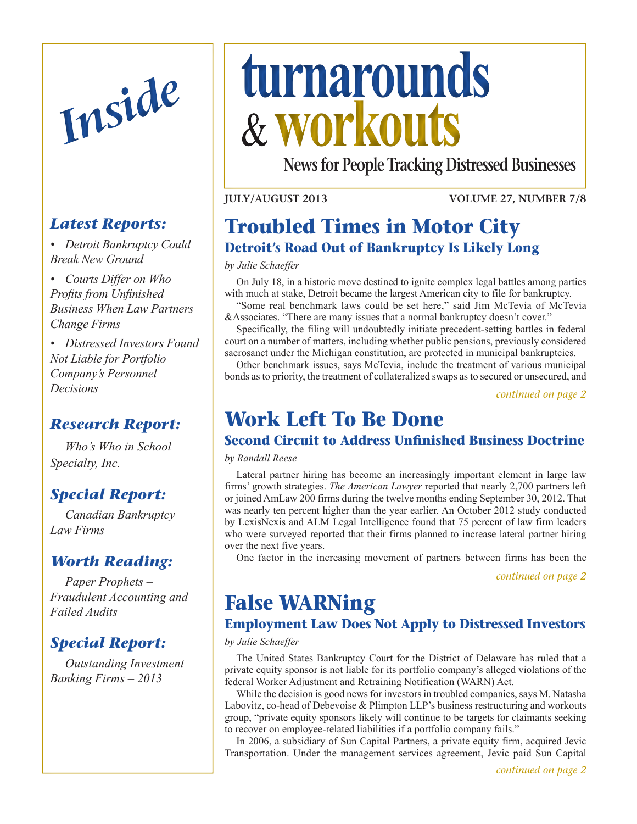

## *Latest Reports:*

*• Detroit Bankruptcy Could Break New Ground*

*• Courts Differ on Who Profits from Unfinished Business When Law Partners Change Firms*

*• Distressed Investors Found Not Liable for Portfolio Company's Personnel Decisions*

# *Research Report:*

 *Who's Who in School Specialty, Inc.*

# *[Special Report:](#page-4-0)*

 *[Canadian](#page-4-0) Bankruptcy Law [Firms](#page-4-0)*

### *[Worth Reading:](#page-5-0)*

 *[Paper](#page-5-0) Prophets – Fraudulent [Accounting](#page-5-0) and [Failed](#page-5-0) Audits*

## *[Special Report:](#page-6-0)*

 *[Outstanding](#page-6-0) Investment [Banking](#page-6-0) Firms – 2013*

# <span id="page-0-0"></span>*Inside* **turnarounds workouts**

**News for People Tracking Distressed Businesses**

#### **July/August 2013**

**Volume 27, Number 7/8**

# **Troubled Times in Motor City Detroit's Road Out of Bankruptcy Is Likely Long**

*by Julie Schaeffer*

On July 18, in a historic move destined to ignite complex legal battles among parties with much at stake, Detroit became the largest American city to file for bankruptcy.

"Some real benchmark laws could be set here," said Jim McTevia of McTevia &Associates. "There are many issues that a normal bankruptcy doesn't cover."

Specifically, the filing will undoubtedly initiate precedent-setting battles in federal court on a number of matters, including whether public pensions, previously considered sacrosanct under the Michigan constitution, are protected in municipal bankruptcies.

Other benchmark issues, says McTevia, include the treatment of various municipal bonds as to priority, the treatment of collateralized swaps as to secured or unsecured, and

*[continued on page 2](#page-1-0)*

# **Work Left To Be Done**

### **Second Circuit to Address Unfinished Business Doctrine**

*by Randall Reese*

Lateral partner hiring has become an increasingly important element in large law firms' growth strategies. *The American Lawyer* reported that nearly 2,700 partners left or joined AmLaw 200 firms during the twelve months ending September 30, 2012. That was nearly ten percent higher than the year earlier. An October 2012 study conducted by LexisNexis and ALM Legal Intelligence found that 75 percent of law firm leaders who were surveyed reported that their firms planned to increase lateral partner hiring over the next five years.

One factor in the increasing movement of partners between firms has been the

*continued on page 2*

# **False WARNing**

## **Employment Law Does Not Apply to Distressed Investors**

*by Julie Schaeffer*

The United States Bankruptcy Court for the District of Delaware has ruled that a private equity sponsor is not liable for its portfolio company's alleged violations of the federal Worker Adjustment and Retraining Notification (WARN) Act.

While the decision is good news for investors in troubled companies, says M. Natasha Labovitz, co-head of Debevoise & Plimpton LLP's business restructuring and workouts group, "private equity sponsors likely will continue to be targets for claimants seeking to recover on employee-related liabilities if a portfolio company fails."

In 2006, a subsidiary of Sun Capital Partners, a private equity firm, acquired Jevic Transportation. Under the management services agreement, Jevic paid Sun Capital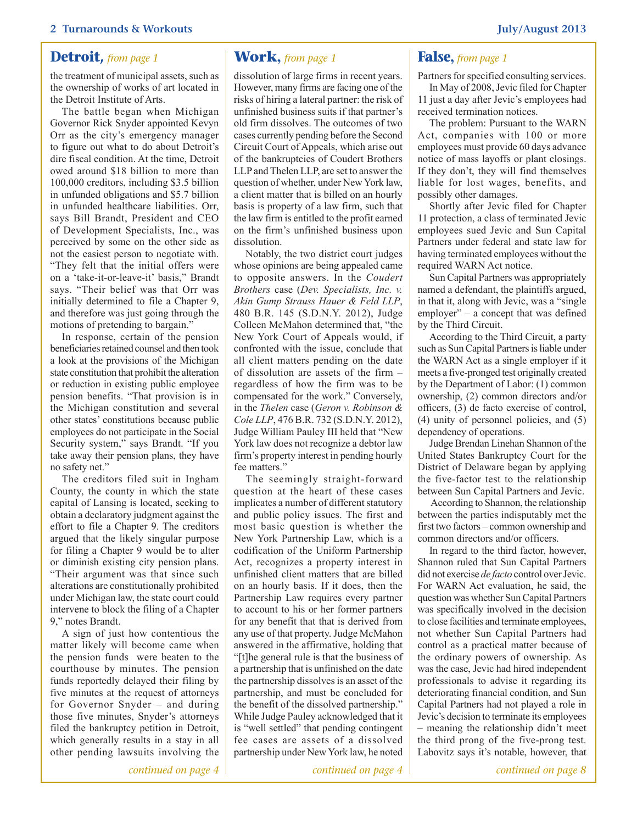### <span id="page-1-0"></span>**Detroit,** *from page 1* **Work,** *from page 1* **False,** *from page 1*

the treatment of municipal assets, such as the ownership of works of art located in the Detroit Institute of Arts.

The battle began when Michigan Governor Rick Snyder appointed Kevyn Orr as the city's emergency manager to figure out what to do about Detroit's dire fiscal condition. At the time, Detroit owed around \$18 billion to more than 100,000 creditors, including \$3.5 billion in unfunded obligations and \$5.7 billion in unfunded healthcare liabilities. Orr, says Bill Brandt, President and CEO of Development Specialists, Inc., was perceived by some on the other side as not the easiest person to negotiate with. "They felt that the initial offers were on a 'take-it-or-leave-it' basis," Brandt says. "Their belief was that Orr was initially determined to file a Chapter 9, and therefore was just going through the motions of pretending to bargain."

In response, certain of the pension beneficiaries retained counsel and then took a look at the provisions of the Michigan state constitution that prohibit the alteration or reduction in existing public employee pension benefits. "That provision is in the Michigan constitution and several other states' constitutions because public employees do not participate in the Social Security system," says Brandt. "If you take away their pension plans, they have no safety net."

The creditors filed suit in Ingham County, the county in which the state capital of Lansing is located, seeking to obtain a declaratory judgment against the effort to file a Chapter 9. The creditors argued that the likely singular purpose for filing a Chapter 9 would be to alter or diminish existing city pension plans. "Their argument was that since such alterations are constitutionally prohibited under Michigan law, the state court could intervene to block the filing of a Chapter 9," notes Brandt.

A sign of just how contentious the matter likely will become came when the pension funds were beaten to the courthouse by minutes. The pension funds reportedly delayed their filing by five minutes at the request of attorneys for Governor Snyder – and during those five minutes, Snyder's attorneys filed the bankruptcy petition in Detroit, which generally results in a stay in all other pending lawsuits involving the

*[continued on page 4](#page-3-0)*

dissolution of large firms in recent years. However, many firms are facing one of the risks of hiring a lateral partner: the risk of unfinished business suits if that partner's old firm dissolves. The outcomes of two cases currently pending before the Second Circuit Court of Appeals, which arise out of the bankruptcies of Coudert Brothers LLP and Thelen LLP, are set to answer the question of whether, under New York law, a client matter that is billed on an hourly basis is property of a law firm, such that the law firm is entitled to the profit earned on the firm's unfinished business upon dissolution.

Notably, the two district court judges whose opinions are being appealed came to opposite answers. In the *Coudert Brothers* case (*Dev. Specialists, Inc. v. Akin Gump Strauss Hauer & Feld LLP*, 480 B.R. 145 (S.D.N.Y. 2012), Judge Colleen McMahon determined that, "the New York Court of Appeals would, if confronted with the issue, conclude that all client matters pending on the date of dissolution are assets of the firm – regardless of how the firm was to be compensated for the work." Conversely, in the *Thelen* case (*Geron v. Robinson & Cole LLP*, 476 B.R. 732 (S.D.N.Y. 2012), Judge William Pauley III held that "New York law does not recognize a debtor law firm's property interest in pending hourly fee matters."

The seemingly straight-forward question at the heart of these cases implicates a number of different statutory and public policy issues. The first and most basic question is whether the New York Partnership Law, which is a codification of the Uniform Partnership Act, recognizes a property interest in unfinished client matters that are billed on an hourly basis. If it does, then the Partnership Law requires every partner to account to his or her former partners for any benefit that that is derived from any use of that property. Judge McMahon answered in the affirmative, holding that "[t]he general rule is that the business of a partnership that is unfinished on the date the partnership dissolves is an asset of the partnership, and must be concluded for the benefit of the dissolved partnership." While Judge Pauley acknowledged that it is "well settled" that pending contingent fee cases are assets of a dissolved partnership under New York law, he noted

<span id="page-1-1"></span>

Partners for specified consulting services.

In May of 2008, Jevic filed for Chapter 11 just a day after Jevic's employees had received termination notices.

The problem: Pursuant to the WARN Act, companies with 100 or more employees must provide 60 days advance notice of mass layoffs or plant closings. If they don't, they will find themselves liable for lost wages, benefits, and possibly other damages.

Shortly after Jevic filed for Chapter 11 protection, a class of terminated Jevic employees sued Jevic and Sun Capital Partners under federal and state law for having terminated employees without the required WARN Act notice.

Sun Capital Partners was appropriately named a defendant, the plaintiffs argued, in that it, along with Jevic, was a "single employer" – a concept that was defined by the Third Circuit.

According to the Third Circuit, a party such as Sun Capital Partners is liable under the WARN Act as a single employer if it meets a five-pronged test originally created by the Department of Labor: (1) common ownership, (2) common directors and/or officers, (3) de facto exercise of control, (4) unity of personnel policies, and (5) dependency of operations.

Judge Brendan Linehan Shannon of the United States Bankruptcy Court for the District of Delaware began by applying the five-factor test to the relationship between Sun Capital Partners and Jevic.

 According to Shannon, the relationship between the parties indisputably met the first two factors – common ownership and common directors and/or officers.

In regard to the third factor, however, Shannon ruled that Sun Capital Partners did not exercise *de facto* control over Jevic. For WARN Act evaluation, he said, the question was whether Sun Capital Partners was specifically involved in the decision to close facilities and terminate employees, not whether Sun Capital Partners had control as a practical matter because of the ordinary powers of ownership. As was the case, Jevic had hired independent professionals to advise it regarding its deteriorating financial condition, and Sun Capital Partners had not played a role in Jevic's decision to terminate its employees – meaning the relationship didn't meet the third prong of the five-prong test. Labovitz says it's notable, however, that

*continued on page 4 [continued on page 8](#page-7-0)*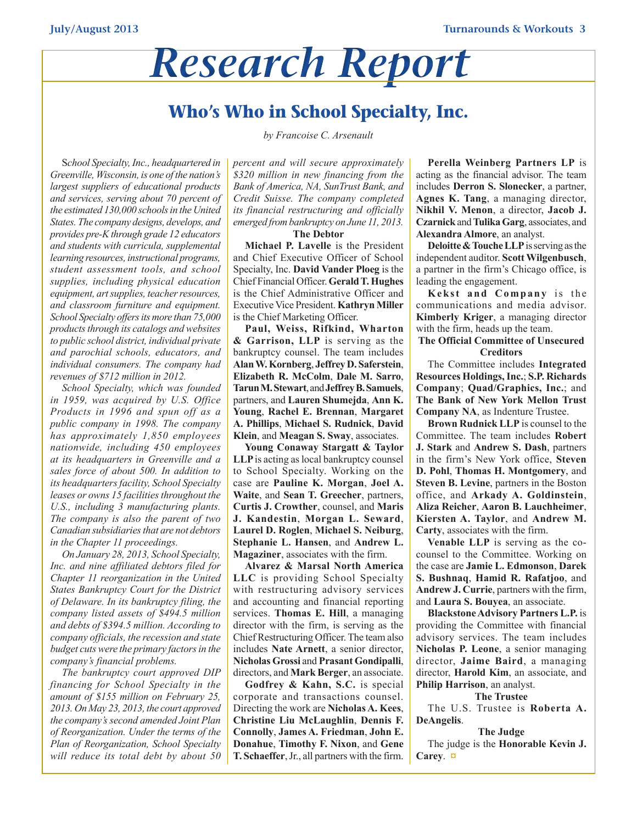# *Research Report*

# **Who's Who in School Specialty, Inc.**

*by Francoise C. Arsenault*

S*chool Specialty,Inc., headquartered in Greenville, Wisconsin, is one of the nation's largest suppliers of educational products and services, serving about 70 percent of the estimated 130,000 schoolsin the United States. The company designs, develops, and provides pre-Kthrough grade 12 educators and students with curricula, supplemental learning resources, instructional programs, student assessment tools, and school supplies, including physical education*  $equipment$ , *art supplies*, *teacher resources*, *and classroom furniture and equipment. School Specialty offersits more than 75,000 productsthrough its catalogs and websites to public school district, individual private and parochial schools, educators, and individual consumers. The company had revenues of \$712 million in 2012.*

*School Specialty, which was founded in 1959, was acquired by U.S. Office Products in 1996 and spun off as a public company in 1998. The company has approximately 1,850 employees nationwide, including 450 employees at its headquarters in Greenville and a sales force of about 500. In addition to its headquartersfacility, School Specialty leases or owns 15 facilitiesthroughout the U.S., including 3 manufacturing plants. The company is also the parent of two Canadian subsidiariesthat are not debtors in the Chapter 11 proceedings.*

*On January 28, 2013, School Specialty, Inc. and nine affiliated debtors filed for Chapter 11 reorganization in the United States Bankruptcy Court for the District of Delaware. In its bankruptcy filing, the company listed assets of \$494.5 million and debts of \$394.5 million. According to company officials, the recession and state budget cuts were the primary factorsin the company's financial problems.*

*The bankruptcy court approved DIP financing for School Specialty in the amount of \$155 million on February 25, 2013. On May 23, 2013, the court approved the company'ssecond amended Joint Plan of Reorganization. Under the terms of the Plan of Reorganization, School Specialty will reduce its total debt by about 50* *percent and will secure approximately \$320 million in new financing from the Bank of America, NA, SunTrust Bank, and Credit Suisse. The company completed its financial restructuring and officially emerged from bankruptcy on June 11, 2013.*

#### **The Debtor**

**Michael P. Lavelle** is the President and Chief Executive Officer of School Specialty, Inc. **David Vander Ploeg** is the Chief Financial Officer. **Gerald T. Hughes**  is the Chief Administrative Officer and Executive Vice President. **Kathryn Miller** is the Chief Marketing Officer.

**Paul, Weiss, Rifkind, Wharton & Garrison, LLP** is serving as the bankruptcy counsel. The team includes **Alan W. Kornberg**, **Jeffrey D. Saferstein**, **Elizabeth R. McColm**, **Dale M. Sarro**, **Tarun M. Stewart**, and **Jeffrey B. Samuels**, partners, and **Lauren Shumejda**, **Ann K. Young**, **Rachel E. Brennan**, **Margaret A. Phillips**, **Michael S. Rudnick**, **David Klein**, and **Meagan S. Sway**, associates.

**Young Conaway Stargatt & Taylor LLP** is acting as local bankruptcy counsel to School Specialty. Working on the case are **Pauline K. Morgan**, **Joel A. Waite**, and **Sean T. Greecher**, partners, **Curtis J. Crowther**, counsel, and **Maris J. Kandestin**, **Morgan L. Seward**, **Laurel D. Roglen**, **Michael S. Neiburg**, **Stephanie L. Hansen**, and **Andrew L. Magaziner**, associates with the firm.

**Alvarez & Marsal North America LLC** is providing School Specialty with restructuring advisory services and accounting and financial reporting services. **Thomas E. Hill**, a managing director with the firm, is serving as the Chief Restructuring Officer. The team also includes **Nate Arnett**, a senior director, **Nicholas Grossi** and **Prasant Gondipalli**, directors, and **Mark Berger**, an associate.

**Godfrey & Kahn, S.C.** is special corporate and transactions counsel. Directing the work are **Nicholas A. Kees**, **Christine Liu McLaughlin**, **Dennis F. Connolly**, **James A. Friedman**, **John E. Donahue**, **Timothy F. Nixon**, and **Gene T. Schaeffer**, Jr., all partners with the firm.

**Perella Weinberg Partners LP** is acting as the financial advisor. The team includes **Derron S. Slonecker**, a partner, **Agnes K. Tang**, a managing director, **Nikhil V. Menon**, a director, **Jacob J. Czarnick** and **Tulika Garg**, associates, and **Alexandra Almore**, an analyst.

**Deloitte & Touche LLP** is serving as the independent auditor. **Scott Wilgenbusch**, a partner in the firm's Chicago office, is leading the engagement.

**Kekst and Company** is the communications and media advisor. **Kimberly Kriger**, a managing director with the firm, heads up the team.

**The Official Committee of Unsecured Creditors**

The Committee includes **Integrated Resources Holdings, Inc.**; **S.P. Richards Company**; **Quad/Graphics, Inc.**; and **The Bank of New York Mellon Trust Company NA**, as Indenture Trustee.

**Brown Rudnick LLP** is counsel to the Committee. The team includes **Robert J. Stark** and **Andrew S. Dash**, partners in the firm's New York office, **Steven D. Pohl**, **Thomas H. Montgomery**, and **Steven B. Levine**, partners in the Boston office, and **Arkady A. Goldinstein**, **Aliza Reicher**, **Aaron B. Lauchheimer**, **Kiersten A. Taylor**, and **Andrew M. Carty**, associates with the firm.

**Venable LLP** is serving as the cocounsel to the Committee. Working on the case are **Jamie L. Edmonson**, **Darek S. Bushnaq**, **Hamid R. Rafatjoo**, and **Andrew J. Currie**, partners with the firm, and **Laura S. Bouyea**, an associate.

**Blackstone Advisory Partners L.P.** is providing the Committee with financial advisory services. The team includes **Nicholas P. Leone**, a senior managing director, **Jaime Baird**, a managing director, **Harold Kim**, an associate, and **Philip Harrison**, an analyst.

#### **The Trustee**

The U.S. Trustee is **Roberta A. DeAngelis**.

#### **The Judge**

The judge is the **Honorable Kevin J. Carey**. **[¤](#page-0-0)**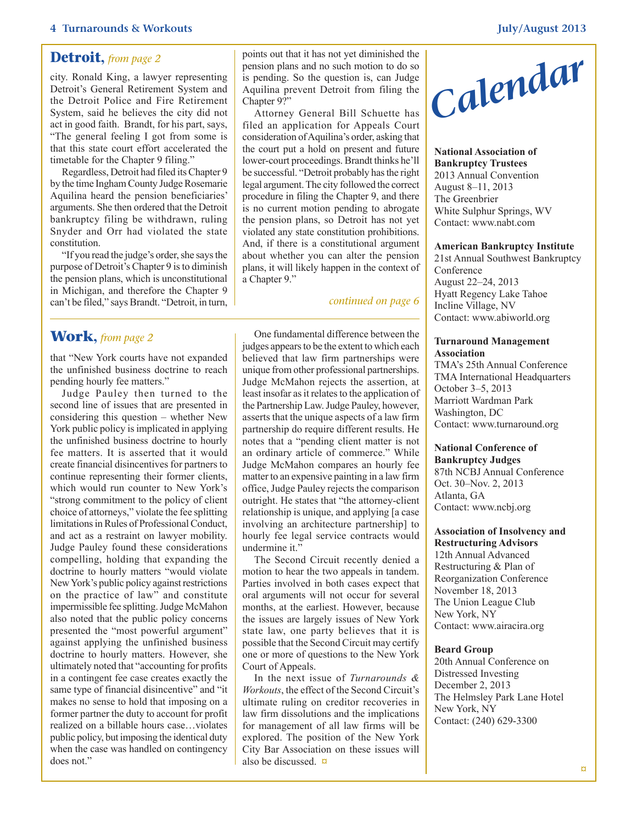#### **4 Turnarounds & Workouts July/August 2013**

#### <span id="page-3-0"></span>**Detroit,** *from page 2*

city. Ronald King, a lawyer representing Detroit's General Retirement System and the Detroit Police and Fire Retirement System, said he believes the city did not act in good faith. Brandt, for his part, says, "The general feeling I got from some is that this state court effort accelerated the timetable for the Chapter 9 filing."

Regardless, Detroit had filed its Chapter 9 by the time Ingham County Judge Rosemarie Aquilina heard the pension beneficiaries' arguments. She then ordered that the Detroit bankruptcy filing be withdrawn, ruling Snyder and Orr had violated the state constitution.

"If you read the judge's order, she says the purpose of Detroit's Chapter 9 is to diminish the pension plans, which is unconstitutional in Michigan, and therefore the Chapter 9 can't be filed," says Brandt. "Detroit, in turn,

#### **Work,** *from page 2*

that "New York courts have not expanded the unfinished business doctrine to reach pending hourly fee matters."

Judge Pauley then turned to the second line of issues that are presented in considering this question – whether New York public policy is implicated in applying the unfinished business doctrine to hourly fee matters. It is asserted that it would create financial disincentives for partners to continue representing their former clients, which would run counter to New York's "strong commitment to the policy of client choice of attorneys," violate the fee splitting limitations in Rules of Professional Conduct, and act as a restraint on lawyer mobility. Judge Pauley found these considerations compelling, holding that expanding the doctrine to hourly matters "would violate New York's public policy against restrictions on the practice of law" and constitute impermissible fee splitting. Judge McMahon also noted that the public policy concerns presented the "most powerful argument" against applying the unfinished business doctrine to hourly matters. However, she ultimately noted that "accounting for profits in a contingent fee case creates exactly the same type of financial disincentive" and "it makes no sense to hold that imposing on a former partner the duty to account for profit realized on a billable hours case…violates public policy, but imposing the identical duty when the case was handled on contingency does not."

points out that it has not yet diminished the pension plans and no such motion to do so is pending. So the question is, can Judge Aquilina prevent Detroit from filing the Chapter 9?"

Attorney General Bill Schuette has filed an application for Appeals Court consideration of Aquilina's order, asking that the court put a hold on present and future lower-court proceedings. Brandt thinks he'll be successful. "Detroit probably has the right legal argument. The city followed the correct procedure in filing the Chapter 9, and there is no current motion pending to abrogate the pension plans, so Detroit has not yet violated any state constitution prohibitions. And, if there is a constitutional argument about whether you can alter the pension plans, it will likely happen in the context of a Chapter 9."

#### *[continued on page 6](#page-5-1)*

One fundamental difference between the judges appears to be the extent to which each believed that law firm partnerships were unique from other professional partnerships. Judge McMahon rejects the assertion, at least insofar as it relates to the application of the Partnership Law. Judge Pauley, however, asserts that the unique aspects of a law firm partnership do require different results. He notes that a "pending client matter is not an ordinary article of commerce." While Judge McMahon compares an hourly fee matter to an expensive painting in a law firm office, Judge Pauley rejects the comparison outright. He states that "the attorney-client relationship is unique, and applying [a case involving an architecture partnership] to hourly fee legal service contracts would undermine it."

The Second Circuit recently denied a motion to hear the two appeals in tandem. Parties involved in both cases expect that oral arguments will not occur for several months, at the earliest. However, because the issues are largely issues of New York state law, one party believes that it is possible that the Second Circuit may certify one or more of questions to the New York Court of Appeals.

In the next issue of *Turnarounds & Workouts*, the effect of the Second Circuit's ultimate ruling on creditor recoveries in law firm dissolutions and the implications for management of all law firms will be explored. The position of the New York City Bar Association on these issues will also be discussed. **[¤](#page-0-0)**



**National Association of Bankruptcy Trustees** 2013 Annual Convention August 8–11, 2013 The Greenbrier White Sulphur Springs, WV Contact: www.nabt.com

#### **American Bankruptcy Institute**

21st Annual Southwest Bankruptcy Conference August 22–24, 2013 Hyatt Regency Lake Tahoe Incline Village, NV Contact: www.abiworld.org

#### **Turnaround Management Association**

TMA's 25th Annual Conference TMA International Headquarters October 3–5, 2013 Marriott Wardman Park Washington, DC Contact: www.turnaround.org

#### **National Conference of Bankruptcy Judges**

87th NCBJ Annual Conference Oct. 30–Nov. 2, 2013 Atlanta, GA Contact: www.ncbj.org

#### **Association of Insolvency and Restructuring Advisors**

12th Annual Advanced Restructuring & Plan of Reorganization Conference November 18, 2013 The Union League Club New York, NY Contact: www.airacira.org

#### **Beard Group**

20th Annual Conference on Distressed Investing December 2, 2013 The Helmsley Park Lane Hotel New York, NY Contact: (240) 629-3300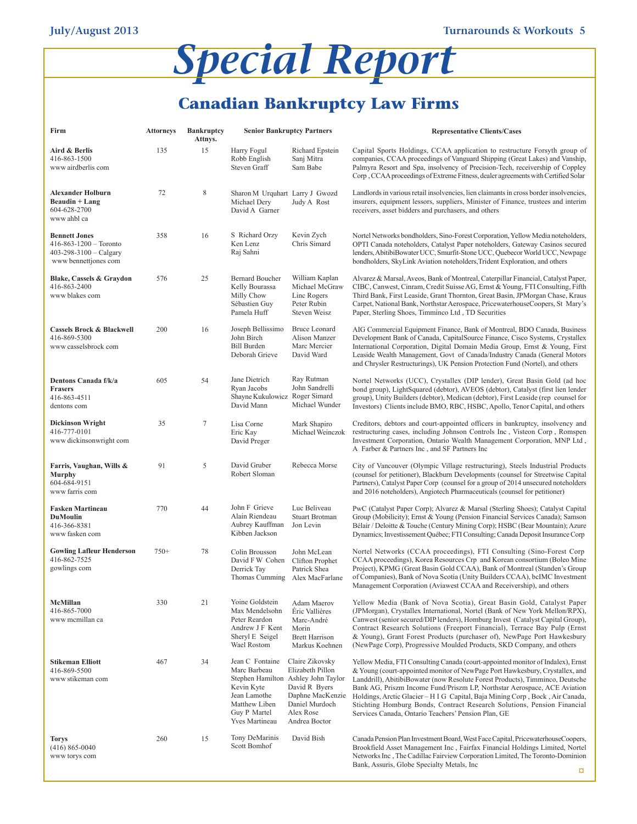# *Special Report*

# <span id="page-4-0"></span>**Canadian Bankruptcy Law Firms**

| Firm                                                                                                   | <b>Attorneys</b> | <b>Bankruptcy</b><br>Attnys. | <b>Senior Bankruptcy Partners</b>                                                                                                                       |                                                                                                                          | <b>Representative Clients/Cases</b>                                                                                                                                                                                                                                                                                                                                                                                                                                                                                                              |
|--------------------------------------------------------------------------------------------------------|------------------|------------------------------|---------------------------------------------------------------------------------------------------------------------------------------------------------|--------------------------------------------------------------------------------------------------------------------------|--------------------------------------------------------------------------------------------------------------------------------------------------------------------------------------------------------------------------------------------------------------------------------------------------------------------------------------------------------------------------------------------------------------------------------------------------------------------------------------------------------------------------------------------------|
| Aird & Berlis<br>416-863-1500<br>www airdberlis com                                                    | 135              | 15                           | Harry Fogul<br>Robb English<br>Steven Graff                                                                                                             | Richard Epstein<br>Sanj Mitra<br>Sam Babe                                                                                | Capital Sports Holdings, CCAA application to restructure Forsyth group of<br>companies, CCAA proceedings of Vanguard Shipping (Great Lakes) and Vanship,<br>Palmyra Resort and Spa, insolvency of Precision-Tech, receivership of Coppley<br>Corp , CCAA proceedings of Extreme Fitness, dealer agreements with Certified Solar                                                                                                                                                                                                                  |
| Alexander Holburn<br>Beaudin + Lang<br>604-628-2700<br>www ahbl ca                                     | 72               | $\,$ 8 $\,$                  | Sharon M Urquhart Larry J Gwozd<br>Michael Dery<br>David A Garner                                                                                       | Judy A Rost                                                                                                              | Landlords in various retail insolvencies, lien claimants in cross border insolvencies,<br>insurers, equipment lessors, suppliers, Minister of Finance, trustees and interim<br>receivers, asset bidders and purchasers, and others                                                                                                                                                                                                                                                                                                               |
| <b>Bennett Jones</b><br>$416 - 863 - 1200$ - Toronto<br>403-298-3100 - Calgary<br>www bennettjones com | 358              | 16                           | S Richard Orzy<br>Ken Lenz<br>Raj Sahni                                                                                                                 | Kevin Zych<br>Chris Simard                                                                                               | Nortel Networks bondholders, Sino-Forest Corporation, Yellow Media noteholders,<br>OPTI Canada noteholders, Catalyst Paper noteholders, Gateway Casinos secured<br>lenders, AbitibiBowater UCC, Smurfit-Stone UCC, Quebecor World UCC, Newpage<br>bondholders, SkyLink Aviation noteholders, Trident Exploration, and others                                                                                                                                                                                                                     |
| Blake, Cassels & Graydon<br>416-863-2400<br>www blakes com                                             | 576              | 25                           | <b>Bernard Boucher</b><br>Kelly Bourassa<br>Milly Chow<br>Sébastien Guy<br>Pamela Huff                                                                  | William Kaplan<br>Michael McGraw<br>Linc Rogers<br>Peter Rubin<br><b>Steven Weisz</b>                                    | Alvarez & Marsal, Aveos, Bank of Montreal, Caterpillar Financial, Catalyst Paper,<br>CIBC, Canwest, Cinram, Credit Suisse AG, Ernst & Young, FTI Consulting, Fifth<br>Third Bank, First Leaside, Grant Thornton, Great Basin, JPMorgan Chase, Kraus<br>Carpet, National Bank, Northstar Aerospace, PricewaterhouseCoopers, St Mary's<br>Paper, Sterling Shoes, Timminco Ltd, TD Securities                                                                                                                                                       |
| <b>Cassels Brock &amp; Blackwell</b><br>416-869-5300<br>www casselsbrock com                           | 200              | 16                           | Joseph Bellissimo<br>John Birch<br><b>Bill Burden</b><br>Deborah Grieve                                                                                 | <b>Bruce Leonard</b><br>Alison Manzer<br>Marc Mercier<br>David Ward                                                      | AIG Commercial Equipment Finance, Bank of Montreal, BDO Canada, Business<br>Development Bank of Canada, CapitalSource Finance, Cisco Systems, Crystallex<br>International Corporation, Digital Domain Media Group, Ernst & Young, First<br>Leaside Wealth Management, Govt of Canada/Industry Canada (General Motors<br>and Chrysler Restructurings), UK Pension Protection Fund (Nortel), and others                                                                                                                                            |
| Dentons Canada f/k/a<br><b>Frasers</b><br>416-863-4511<br>dentons com                                  | 605              | 54                           | Jane Dietrich<br>Ryan Jacobs<br>Shayne Kukulowicz Roger Simard<br>David Mann                                                                            | Ray Rutman<br>John Sandrelli<br>Michael Wunder                                                                           | Nortel Networks (UCC), Crystallex (DIP lender), Great Basin Gold (ad hoc<br>bond group), LightSquared (debtor), AVEOS (debtor), Catalyst (first lien lender<br>group), Unity Builders (debtor), Medican (debtor), First Leaside (rep counsel for<br>Investors) Clients include BMO, RBC, HSBC, Apollo, Tenor Capital, and others                                                                                                                                                                                                                 |
| <b>Dickinson Wright</b><br>416-777-0101<br>www dickinsonwright com                                     | 35               | 7                            | Lisa Corne<br>Eric Kay<br>David Preger                                                                                                                  | Mark Shapiro<br>Michael Weinczok                                                                                         | Creditors, debtors and court-appointed officers in bankruptcy, insolvency and<br>restructuring cases, including Johnson Controls Inc, Visteon Corp, Romspen<br>Investment Corporation, Ontario Wealth Management Corporation, MNP Ltd,<br>A Farber & Partners Inc, and SF Partners Inc                                                                                                                                                                                                                                                           |
| Farris, Vaughan, Wills &<br><b>Murphy</b><br>604-684-9151<br>www farris com                            | 91               | 5                            | David Gruber<br>Robert Sloman                                                                                                                           | Rebecca Morse                                                                                                            | City of Vancouver (Olympic Village restructuring), Steels Industrial Products<br>(counsel for petitioner), Blackburn Developments (counsel for Streetwise Capital<br>Partners), Catalyst Paper Corp (counsel for a group of 2014 unsecured noteholders<br>and 2016 noteholders), Angiotech Pharmaceuticals (counsel for petitioner)                                                                                                                                                                                                              |
| <b>Fasken Martineau</b><br><b>DuMoulin</b><br>416-366-8381<br>www fasken com                           | 770              | 44                           | John F Grieve<br>Alain Riendeau<br>Aubrey Kauffman<br>Kibben Jackson                                                                                    | Luc Beliveau<br>Stuart Brotman<br>Jon Levin                                                                              | PwC (Catalyst Paper Corp); Alvarez & Marsal (Sterling Shoes); Catalyst Capital<br>Group (Mobilicity); Ernst & Young (Pension Financial Services Canada); Samson<br>Bélair / Deloitte & Touche (Century Mining Corp); HSBC (Bear Mountain); Azure<br>Dynamics; Investissement Québec; FTI Consulting; Canada Deposit Insurance Corp                                                                                                                                                                                                               |
| <b>Gowling Lafleur Henderson</b><br>416-862-7525<br>gowlings com                                       | $750+$           | 78                           | Colin Brousson<br>David FW Cohen<br>Derrick Tay<br>Thomas Cumming Alex MacFarlane                                                                       | John McLean<br>Clifton Prophet<br>Patrick Shea                                                                           | Nortel Networks (CCAA proceedings), FTI Consulting (Sino-Forest Corp)<br>CCAA proceedings), Korea Resources Crp and Korean consortium (Boleo Mine<br>Project), KPMG (Great Basin Gold CCAA), Bank of Montreal (Standen's Group<br>of Companies), Bank of Nova Scotia (Unity Builders CCAA), bcIMC Investment<br>Management Corporation (Aviawest CCAA and Receivership), and others                                                                                                                                                              |
| McMillan<br>416-865-7000<br>www mcmillan ca                                                            | 330              | 21                           | Yoine Goldstein<br>Max Mendelsohn<br>Peter Reardon<br>Andrew J F Kent<br>Sheryl E Seigel<br>Wael Rostom                                                 | Adam Maerov<br>Éric Vallières<br>Marc-André<br>Morin<br><b>Brett Harrison</b><br>Markus Koehnen                          | Yellow Media (Bank of Nova Scotia), Great Basin Gold, Catalyst Paper<br>(JPMorgan), Crystallex International, Nortel (Bank of New York Mellon/RPX),<br>Canwest (senior secured/DIP lenders), Homburg Invest (Catalyst Capital Group),<br>Contract Research Solutions (Freeport Financial), Terrace Bay Pulp (Ernst<br>& Young), Grant Forest Products (purchaser of), NewPage Port Hawkesbury<br>(NewPage Corp), Progressive Moulded Products, SKD Company, and others                                                                           |
| Stikeman Elliott<br>416-869-5500<br>www stikeman com                                                   | 467              | 34                           | Jean C Fontaine<br>Marc Barbeau<br>Stephen Hamilton Ashley John Taylor<br>Kevin Kyte<br>Jean Lamothe<br>Matthew Liben<br>Guy P Martel<br>Yves Martineau | Claire Zikovsky<br>Elizabeth Pillon<br>David R Byers<br>Daphne MacKenzie<br>Daniel Murdoch<br>Alex Rose<br>Andrea Boctor | Yellow Media, FTI Consulting Canada (court-appointed monitor of Indalex), Ernst<br>& Young (court-appointed monitor of NewPage Port Hawkesbury, Crystallex, and<br>Landdrill), AbitibiBowater (now Resolute Forest Products), Timminco, Deutsche<br>Bank AG, Priszm Income Fund/Priszm LP, Northstar Aerospace, ACE Aviation<br>Holdings, Arctic Glacier - H I G Capital, Baja Mining Corp , Bock, Air Canada,<br>Stichting Homburg Bonds, Contract Research Solutions, Pension Financial<br>Services Canada, Ontario Teachers' Pension Plan, GE |
| Torys<br>$(416)$ 865-0040<br>www torys com                                                             | 260              | 15                           | Tony DeMarinis<br>Scott Bomhof                                                                                                                          | David Bish                                                                                                               | Canada Pension Plan Investment Board, West Face Capital, PricewaterhouseCoopers,<br>Brookfield Asset Management Inc, Fairfax Financial Holdings Limited, Nortel<br>Networks Inc., The Cadillac Fairview Corporation Limited, The Toronto-Dominion<br>Bank, Assuris, Globe Specialty Metals, Inc.                                                                                                                                                                                                                                                 |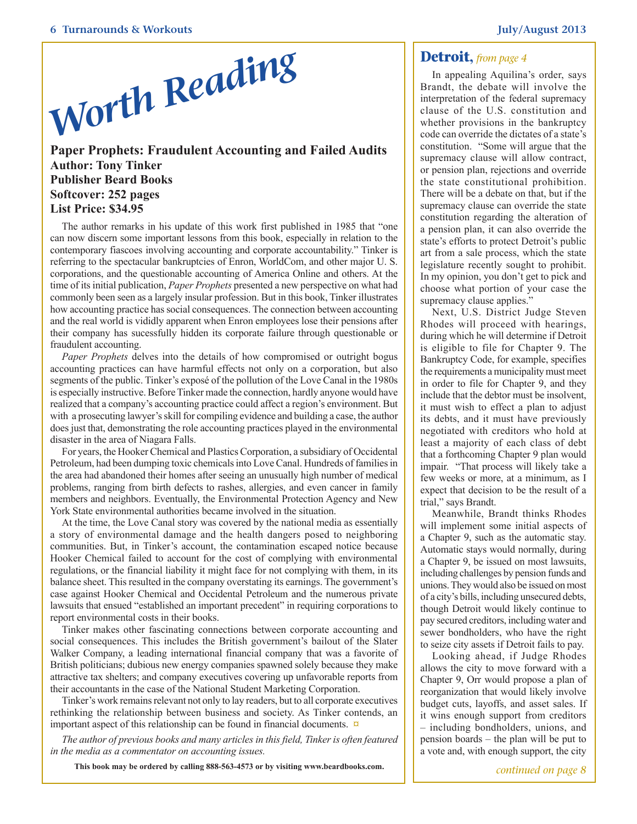

#### <span id="page-5-0"></span>**Paper Prophets: Fraudulent Accounting and Failed Audits Author: Tony Tinker Publisher Beard Books Softcover: 252 pages List Price: \$34.95**

The author remarks in his update of this work first published in 1985 that "one can now discern some important lessons from this book, especially in relation to the contemporary fiascoes involving accounting and corporate accountability." Tinker is referring to the spectacular bankruptcies of Enron, WorldCom, and other major U. S. corporations, and the questionable accounting of America Online and others. At the time of its initial publication, *Paper Prophets* presented a new perspective on what had commonly been seen as a largely insular profession. But in this book, Tinker illustrates how accounting practice has social consequences. The connection between accounting and the real world is vididly apparent when Enron employees lose their pensions after their company has sucessfully hidden its corporate failure through questionable or fraudulent accounting.

*Paper Prophets* delves into the details of how compromised or outright bogus accounting practices can have harmful effects not only on a corporation, but also segments of the public. Tinker's exposé of the pollution of the Love Canal in the 1980s is especially instructive. Before Tinker made the connection, hardly anyone would have realized that a company's accounting practice could affect a region's environment. But with a prosecuting lawyer's skill for compiling evidence and building a case, the author does just that, demonstrating the role accounting practices played in the environmental disaster in the area of Niagara Falls.

For years, the Hooker Chemical and Plastics Corporation, a subsidiary of Occidental Petroleum, had been dumping toxic chemicals into Love Canal. Hundreds of families in the area had abandoned their homes after seeing an unusually high number of medical problems, ranging from birth defects to rashes, allergies, and even cancer in family members and neighbors. Eventually, the Environmental Protection Agency and New York State environmental authorities became involved in the situation.

At the time, the Love Canal story was covered by the national media as essentially a story of environmental damage and the health dangers posed to neighboring communities. But, in Tinker's account, the contamination escaped notice because Hooker Chemical failed to account for the cost of complying with environmental regulations, or the financial liability it might face for not complying with them, in its balance sheet. This resulted in the company overstating its earnings. The government's case against Hooker Chemical and Occidental Petroleum and the numerous private lawsuits that ensued "established an important precedent" in requiring corporations to report environmental costs in their books.

Tinker makes other fascinating connections between corporate accounting and social consequences. This includes the British government's bailout of the Slater Walker Company, a leading international financial company that was a favorite of British politicians; dubious new energy companies spawned solely because they make attractive tax shelters; and company executives covering up unfavorable reports from their accountants in the case of the National Student Marketing Corporation.

Tinker's work remains relevant not only to lay readers, but to all corporate executives rethinking the relationship between business and society. As Tinker contends, an important aspect of this relationship can be found in financial documents. **[¤](#page-0-0)**

*The author of previous books and many articles in this field, Tinker is often featured in the media as a commentator on accounting issues.*

**This book may be ordered by calling 888-563-4573 or by visiting www.beardbooks.com.**

<span id="page-5-1"></span>In appealing Aquilina's order, says Brandt, the debate will involve the interpretation of the federal supremacy clause of the U.S. constitution and whether provisions in the bankruptcy code can override the dictates of a state's constitution. "Some will argue that the supremacy clause will allow contract, or pension plan, rejections and override the state constitutional prohibition. There will be a debate on that, but if the supremacy clause can override the state constitution regarding the alteration of a pension plan, it can also override the state's efforts to protect Detroit's public art from a sale process, which the state legislature recently sought to prohibit. In my opinion, you don't get to pick and choose what portion of your case the supremacy clause applies."

Next, U.S. District Judge Steven Rhodes will proceed with hearings, during which he will determine if Detroit is eligible to file for Chapter 9. The Bankruptcy Code, for example, specifies the requirements a municipality must meet in order to file for Chapter 9, and they include that the debtor must be insolvent, it must wish to effect a plan to adjust its debts, and it must have previously negotiated with creditors who hold at least a majority of each class of debt that a forthcoming Chapter 9 plan would impair. "That process will likely take a few weeks or more, at a minimum, as I expect that decision to be the result of a trial," says Brandt.

Meanwhile, Brandt thinks Rhodes will implement some initial aspects of a Chapter 9, such as the automatic stay. Automatic stays would normally, during a Chapter 9, be issued on most lawsuits, including challenges by pension funds and unions. They would also be issued on most of a city's bills, including unsecured debts, though Detroit would likely continue to pay secured creditors, including water and sewer bondholders, who have the right to seize city assets if Detroit fails to pay.

Looking ahead, if Judge Rhodes allows the city to move forward with a Chapter 9, Orr would propose a plan of reorganization that would likely involve budget cuts, layoffs, and asset sales. If it wins enough support from creditors – including bondholders, unions, and pension boards – the plan will be put to a vote and, with enough support, the city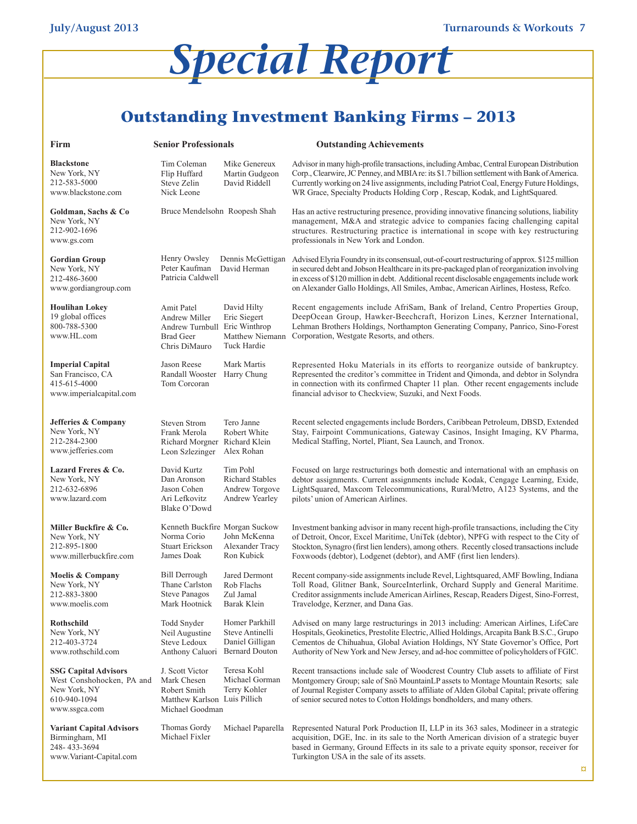# <span id="page-6-0"></span>*Special Report*

# **Outstanding Investment Banking Firms – 2013**

| Firm                                                                                                      | <b>Senior Professionals</b>                                                                       |                                                                 | <b>Outstanding Achievements</b>                                                                                                                                                                                                                                                                                                                                                 |  |  |
|-----------------------------------------------------------------------------------------------------------|---------------------------------------------------------------------------------------------------|-----------------------------------------------------------------|---------------------------------------------------------------------------------------------------------------------------------------------------------------------------------------------------------------------------------------------------------------------------------------------------------------------------------------------------------------------------------|--|--|
| Blackstone<br>New York, NY<br>212-583-5000<br>www.blackstone.com                                          | Tim Coleman<br>Flip Huffard<br>Steve Zelin<br>Nick Leone                                          | Mike Genereux<br>Martin Gudgeon<br>David Riddell                | Advisor in many high-profile transactions, including Ambac, Central European Distribution<br>Corp., Clearwire, JC Penney, and MBIA re: its \$1.7 billion settlement with Bank of America.<br>Currently working on 24 live assignments, including Patriot Coal, Energy Future Holdings,<br>WR Grace, Specialty Products Holding Corp , Rescap, Kodak, and LightSquared.          |  |  |
| Goldman, Sachs & Co<br>New York, NY<br>212-902-1696<br>www.gs.com                                         | Bruce Mendelsohn Roopesh Shah                                                                     |                                                                 | Has an active restructuring presence, providing innovative financing solutions, liability<br>management, M&A and strategic advice to companies facing challenging capital<br>structures. Restructuring practice is international in scope with key restructuring<br>professionals in New York and London.                                                                       |  |  |
| Gordian Group<br>New York, NY<br>212-486-3600<br>www.gordiangroup.com                                     | Henry Owsley<br>Peter Kaufman<br>Patricia Caldwell                                                | Dennis McGettigan<br>David Herman                               | Advised Elyria Foundry in its consensual, out-of-court restructuring of approx. \$125 million<br>in secured debt and Jobson Healthcare in its pre-packaged plan of reorganization involving<br>in excess of \$120 million in debt. Additional recent disclosable engagements include work<br>on Alexander Gallo Holdings, All Smiles, Ambac, American Airlines, Hostess, Refco. |  |  |
| Houlihan Lokey<br>19 global offices<br>800-788-5300<br>www.HL.com                                         | Amit Patel<br>Andrew Miller<br>Andrew Turnbull Eric Winthrop<br><b>Brad Geer</b><br>Chris DiMauro | David Hilty<br>Eric Siegert<br>Matthew Niemann<br>Tuck Hardie   | Recent engagements include AfriSam, Bank of Ireland, Centro Properties Group,<br>DeepOcean Group, Hawker-Beechcraft, Horizon Lines, Kerzner International,<br>Lehman Brothers Holdings, Northampton Generating Company, Panrico, Sino-Forest<br>Corporation, Westgate Resorts, and others.                                                                                      |  |  |
| <b>Imperial Capital</b><br>San Francisco, CA<br>415-615-4000<br>www.imperialcapital.com                   | Jason Reese<br>Randall Wooster<br>Tom Corcoran                                                    | Mark Martis<br>Harry Chung                                      | Represented Hoku Materials in its efforts to reorganize outside of bankruptcy.<br>Represented the creditor's committee in Trident and Qimonda, and debtor in Solyndra<br>in connection with its confirmed Chapter 11 plan. Other recent engagements include<br>financial advisor to Checkview, Suzuki, and Next Foods.                                                          |  |  |
| Jefferies & Company<br>New York, NY<br>212-284-2300<br>www.jefferies.com                                  | <b>Steven Strom</b><br>Frank Merola<br>Richard Morgner Richard Klein<br>Leon Szlezinger           | Tero Janne<br>Robert White<br>Alex Rohan                        | Recent selected engagements include Borders, Caribbean Petroleum, DBSD, Extended<br>Stay, Fairpoint Communications, Gateway Casinos, Insight Imaging, KV Pharma,<br>Medical Staffing, Nortel, Pliant, Sea Launch, and Tronox.                                                                                                                                                   |  |  |
| Lazard Freres & Co.<br>New York, NY<br>212-632-6896<br>www.lazard.com                                     | David Kurtz<br>Dan Aronson<br>Jason Cohen<br>Ari Lefkovitz<br>Blake O'Dowd                        | Tim Pohl<br>Richard Stables<br>Andrew Torgove<br>Andrew Yearley | Focused on large restructurings both domestic and international with an emphasis on<br>debtor assignments. Current assignments include Kodak, Cengage Learning, Exide,<br>LightSquared, Maxcom Telecommunications, Rural/Metro, A123 Systems, and the<br>pilots' union of American Airlines.                                                                                    |  |  |
| Miller Buckfire & Co.<br>New York, NY<br>212-895-1800<br>www.millerbuckfire.com                           | Kenneth Buckfire Morgan Suckow<br>Norma Corio<br><b>Stuart Erickson</b><br>James Doak             | John McKenna<br>Alexander Tracy<br>Ron Kubick                   | Investment banking advisor in many recent high-profile transactions, including the City<br>of Detroit, Oncor, Excel Maritime, UniTek (debtor), NPFG with respect to the City of<br>Stockton, Synagro (first lien lenders), among others. Recently closed transactions include<br>Foxwoods (debtor), Lodgenet (debtor), and AMF (first lien lenders).                            |  |  |
| Moelis & Company<br>New York, NY<br>212-883-3800<br>www.moelis.com                                        | Bill Derrough<br>Thane Carlston<br><b>Steve Panagos</b><br>Mark Hootnick                          | Jared Dermont<br>Rob Flachs<br>Zul Jamal<br>Barak Klein         | Recent company-side assignments include Revel, Lightsquared, AMF Bowling, Indiana<br>Toll Road, Glitner Bank, SourceInterlink, Orchard Supply and General Maritime.<br>Creditor assignments include American Airlines, Rescap, Readers Digest, Sino-Forrest,<br>Travelodge, Kerzner, and Dana Gas.                                                                              |  |  |
| Rothschild<br>New York, NY<br>212-403-3724<br>www.rothschild.com                                          | Todd Snyder<br>Neil Augustine<br>Steve Ledoux<br>Anthony Caluori Bernard Douton                   | Homer Parkhill<br>Steve Antinelli<br>Daniel Gilligan            | Advised on many large restructurings in 2013 including: American Airlines, LifeCare<br>Hospitals, Geokinetics, Prestolite Electric, Allied Holdings, Arcapita Bank B.S.C., Grupo<br>Cementos de Chihuahua, Global Aviation Holdings, NY State Governor's Office, Port<br>Authority of New York and New Jersey, and ad-hoc committee of policyholders of FGIC.                   |  |  |
| <b>SSG Capital Advisors</b><br>West Conshohocken, PA and<br>New York, NY<br>610-940-1094<br>www.ssgca.com | J. Scott Victor<br>Mark Chesen<br>Robert Smith<br>Matthew Karlson Luis Pillich<br>Michael Goodman | Teresa Kohl<br>Michael Gorman<br>Terry Kohler                   | Recent transactions include sale of Woodcrest Country Club assets to affiliate of First<br>Montgomery Group; sale of Snö Mountain LP assets to Montage Mountain Resorts; sale<br>of Journal Register Company assets to affiliate of Alden Global Capital; private offering<br>of senior secured notes to Cotton Holdings bondholders, and many others.                          |  |  |
| <b>Variant Capital Advisors</b><br>Birmingham, MI<br>248-433-3694<br>www.Variant-Capital.com              | Thomas Gordy<br>Michael Fixler                                                                    | Michael Paparella                                               | Represented Natural Pork Production II, LLP in its 363 sales, Modineer in a strategic<br>acquisition, DGE, Inc. in its sale to the North American division of a strategic buyer<br>based in Germany, Ground Effects in its sale to a private equity sponsor, receiver for<br>Turkington USA in the sale of its assets.                                                          |  |  |